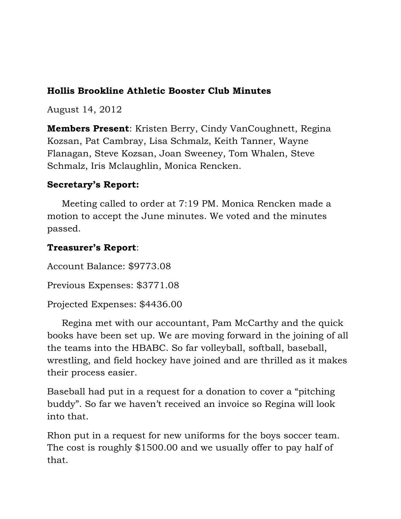### **Hollis Brookline Athletic Booster Club Minutes**

August 14, 2012

**Members Present**: Kristen Berry, Cindy VanCoughnett, Regina Kozsan, Pat Cambray, Lisa Schmalz, Keith Tanner, Wayne Flanagan, Steve Kozsan, Joan Sweeney, Tom Whalen, Steve Schmalz, Iris Mclaughlin, Monica Rencken.

### **Secretary's Report:**

 Meeting called to order at 7:19 PM. Monica Rencken made a motion to accept the June minutes. We voted and the minutes passed.

## **Treasurer's Report**:

Account Balance: \$9773.08 Previous Expenses: \$3771.08 Projected Expenses: \$4436.00

 Regina met with our accountant, Pam McCarthy and the quick books have been set up. We are moving forward in the joining of all the teams into the HBABC. So far volleyball, softball, baseball, wrestling, and field hockey have joined and are thrilled as it makes their process easier.

Baseball had put in a request for a donation to cover a "pitching buddy". So far we haven't received an invoice so Regina will look into that.

Rhon put in a request for new uniforms for the boys soccer team. The cost is roughly \$1500.00 and we usually offer to pay half of that.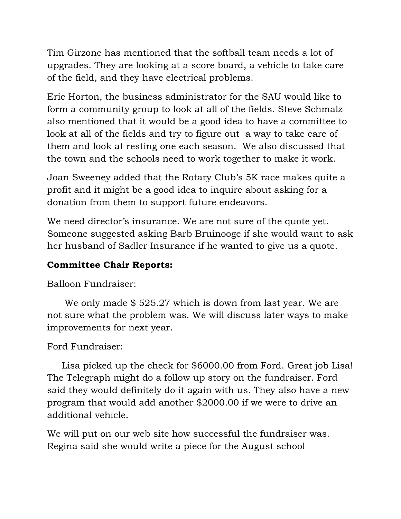Tim Girzone has mentioned that the softball team needs a lot of upgrades. They are looking at a score board, a vehicle to take care of the field, and they have electrical problems.

Eric Horton, the business administrator for the SAU would like to form a community group to look at all of the fields. Steve Schmalz also mentioned that it would be a good idea to have a committee to look at all of the fields and try to figure out a way to take care of them and look at resting one each season. We also discussed that the town and the schools need to work together to make it work.

Joan Sweeney added that the Rotary Club's 5K race makes quite a profit and it might be a good idea to inquire about asking for a donation from them to support future endeavors.

We need director's insurance. We are not sure of the quote yet. Someone suggested asking Barb Bruinooge if she would want to ask her husband of Sadler Insurance if he wanted to give us a quote.

# **Committee Chair Reports:**

Balloon Fundraiser:

We only made \$525.27 which is down from last year. We are not sure what the problem was. We will discuss later ways to make improvements for next year.

# Ford Fundraiser:

 Lisa picked up the check for \$6000.00 from Ford. Great job Lisa! The Telegraph might do a follow up story on the fundraiser. Ford said they would definitely do it again with us. They also have a new program that would add another \$2000.00 if we were to drive an additional vehicle.

We will put on our web site how successful the fundraiser was. Regina said she would write a piece for the August school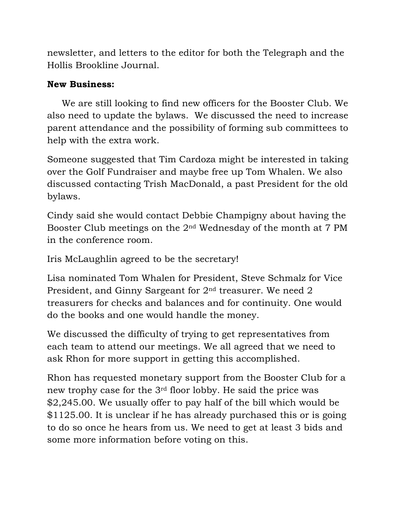newsletter, and letters to the editor for both the Telegraph and the Hollis Brookline Journal.

## **New Business:**

 We are still looking to find new officers for the Booster Club. We also need to update the bylaws. We discussed the need to increase parent attendance and the possibility of forming sub committees to help with the extra work.

Someone suggested that Tim Cardoza might be interested in taking over the Golf Fundraiser and maybe free up Tom Whalen. We also discussed contacting Trish MacDonald, a past President for the old bylaws.

Cindy said she would contact Debbie Champigny about having the Booster Club meetings on the 2nd Wednesday of the month at 7 PM in the conference room.

Iris McLaughlin agreed to be the secretary!

Lisa nominated Tom Whalen for President, Steve Schmalz for Vice President, and Ginny Sargeant for 2nd treasurer. We need 2 treasurers for checks and balances and for continuity. One would do the books and one would handle the money.

We discussed the difficulty of trying to get representatives from each team to attend our meetings. We all agreed that we need to ask Rhon for more support in getting this accomplished.

Rhon has requested monetary support from the Booster Club for a new trophy case for the 3rd floor lobby. He said the price was \$2,245.00. We usually offer to pay half of the bill which would be \$1125.00. It is unclear if he has already purchased this or is going to do so once he hears from us. We need to get at least 3 bids and some more information before voting on this.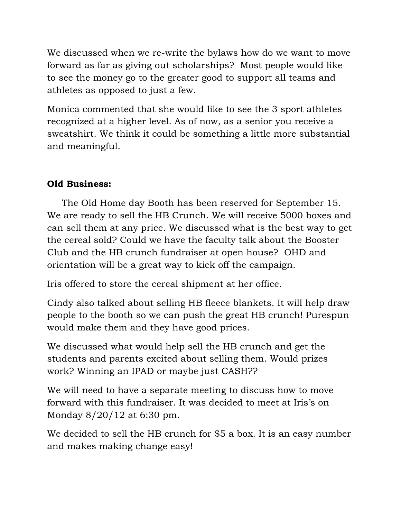We discussed when we re-write the bylaws how do we want to move forward as far as giving out scholarships? Most people would like to see the money go to the greater good to support all teams and athletes as opposed to just a few.

Monica commented that she would like to see the 3 sport athletes recognized at a higher level. As of now, as a senior you receive a sweatshirt. We think it could be something a little more substantial and meaningful.

# **Old Business:**

 The Old Home day Booth has been reserved for September 15. We are ready to sell the HB Crunch. We will receive 5000 boxes and can sell them at any price. We discussed what is the best way to get the cereal sold? Could we have the faculty talk about the Booster Club and the HB crunch fundraiser at open house? OHD and orientation will be a great way to kick off the campaign.

Iris offered to store the cereal shipment at her office.

Cindy also talked about selling HB fleece blankets. It will help draw people to the booth so we can push the great HB crunch! Purespun would make them and they have good prices.

We discussed what would help sell the HB crunch and get the students and parents excited about selling them. Would prizes work? Winning an IPAD or maybe just CASH??

We will need to have a separate meeting to discuss how to move forward with this fundraiser. It was decided to meet at Iris's on Monday 8/20/12 at 6:30 pm.

We decided to sell the HB crunch for \$5 a box. It is an easy number and makes making change easy!